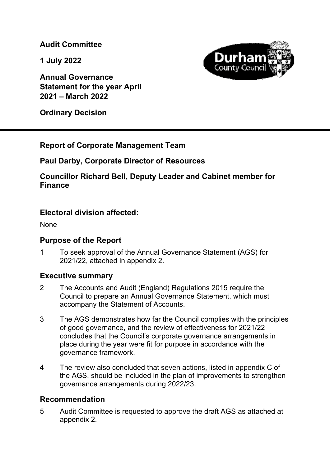**Audit Committee** 

**1 July 2022** 

**Annual Governance Statement for the year April 2021 – March 2022** 

**Ordinary Decision** 

# **Report of Corporate Management Team**

# **Paul Darby, Corporate Director of Resources**

**Councillor Richard Bell, Deputy Leader and Cabinet member for Finance** 

# **Electoral division affected:**

None

# **Purpose of the Report**

1 To seek approval of the Annual Governance Statement (AGS) for 2021/22, attached in appendix 2.

# **Executive summary**

- 2 The Accounts and Audit (England) Regulations 2015 require the Council to prepare an Annual Governance Statement, which must accompany the Statement of Accounts.
- 3 The AGS demonstrates how far the Council complies with the principles of good governance, and the review of effectiveness for 2021/22 concludes that the Council's corporate governance arrangements in place during the year were fit for purpose in accordance with the governance framework.
- 4 The review also concluded that seven actions, listed in appendix C of the AGS, should be included in the plan of improvements to strengthen governance arrangements during 2022/23.

# **Recommendation**

5 Audit Committee is requested to approve the draft AGS as attached at appendix 2.

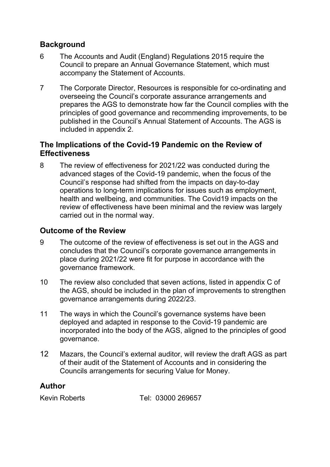# **Background**

- 6 The Accounts and Audit (England) Regulations 2015 require the Council to prepare an Annual Governance Statement, which must accompany the Statement of Accounts.
- 7 The Corporate Director, Resources is responsible for co-ordinating and overseeing the Council's corporate assurance arrangements and prepares the AGS to demonstrate how far the Council complies with the principles of good governance and recommending improvements, to be published in the Council's Annual Statement of Accounts. The AGS is included in appendix 2.

# **The Implications of the Covid-19 Pandemic on the Review of Effectiveness**

8 The review of effectiveness for 2021/22 was conducted during the advanced stages of the Covid-19 pandemic, when the focus of the Council's response had shifted from the impacts on day-to-day operations to long-term implications for issues such as employment, health and wellbeing, and communities. The Covid19 impacts on the review of effectiveness have been minimal and the review was largely carried out in the normal way.

# **Outcome of the Review**

- 9 The outcome of the review of effectiveness is set out in the AGS and concludes that the Council's corporate governance arrangements in place during 2021/22 were fit for purpose in accordance with the governance framework.
- 10 The review also concluded that seven actions, listed in appendix C of the AGS, should be included in the plan of improvements to strengthen governance arrangements during 2022/23.
- 11 The ways in which the Council's governance systems have been deployed and adapted in response to the Covid-19 pandemic are incorporated into the body of the AGS, aligned to the principles of good governance.
- 12 Mazars, the Council's external auditor, will review the draft AGS as part of their audit of the Statement of Accounts and in considering the Councils arrangements for securing Value for Money.

# **Author**

Kevin Roberts Tel: 03000 269657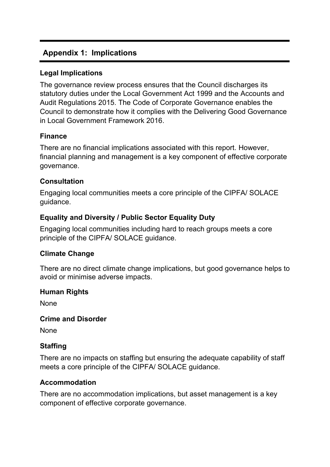# **Appendix 1: Implications**

## **Legal Implications**

The governance review process ensures that the Council discharges its statutory duties under the Local Government Act 1999 and the Accounts and Audit Regulations 2015. The Code of Corporate Governance enables the Council to demonstrate how it complies with the Delivering Good Governance in Local Government Framework 2016.

## **Finance**

There are no financial implications associated with this report. However, financial planning and management is a key component of effective corporate governance.

## **Consultation**

Engaging local communities meets a core principle of the CIPFA/ SOLACE guidance.

# **Equality and Diversity / Public Sector Equality Duty**

Engaging local communities including hard to reach groups meets a core principle of the CIPFA/ SOLACE guidance.

## **Climate Change**

There are no direct climate change implications, but good governance helps to avoid or minimise adverse impacts.

## **Human Rights**

None

## **Crime and Disorder**

None

# **Staffing**

There are no impacts on staffing but ensuring the adequate capability of staff meets a core principle of the CIPFA/ SOLACE guidance.

## **Accommodation**

There are no accommodation implications, but asset management is a key component of effective corporate governance.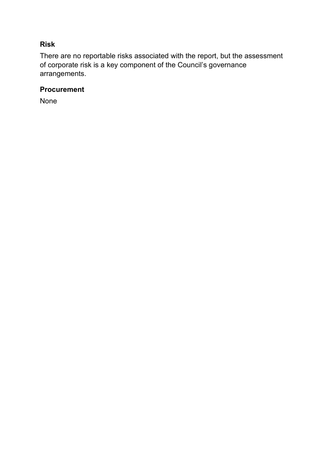# **Risk**

There are no reportable risks associated with the report, but the assessment of corporate risk is a key component of the Council's governance arrangements.

# **Procurement**

None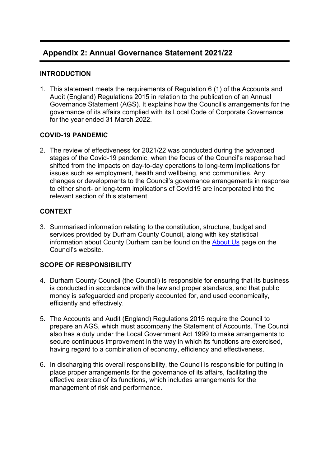# **Appendix 2: Annual Governance Statement 2021/22**

### **INTRODUCTION**

1. This statement meets the requirements of Regulation 6 (1) of the Accounts and Audit (England) Regulations 2015 in relation to the publication of an Annual Governance Statement (AGS). It explains how the Council's arrangements for the governance of its affairs complied with its Local Code of Corporate Governance for the year ended 31 March 2022.

### **COVID-19 PANDEMIC**

2. The review of effectiveness for 2021/22 was conducted during the advanced stages of the Covid-19 pandemic, when the focus of the Council's response had shifted from the impacts on day-to-day operations to long-term implications for issues such as employment, health and wellbeing, and communities. Any changes or developments to the Council's governance arrangements in response to either short- or long-term implications of Covid19 are incorporated into the relevant section of this statement.

### **CONTEXT**

3. Summarised information relating to the constitution, structure, budget and services provided by Durham County Council, along with key statistical information about County Durham can be found on the About Us page on the Council's website.

### **SCOPE OF RESPONSIBILITY**

- 4. Durham County Council (the Council) is responsible for ensuring that its business is conducted in accordance with the law and proper standards, and that public money is safeguarded and properly accounted for, and used economically, efficiently and effectively.
- 5. The Accounts and Audit (England) Regulations 2015 require the Council to prepare an AGS, which must accompany the Statement of Accounts. The Council also has a duty under the Local Government Act 1999 to make arrangements to secure continuous improvement in the way in which its functions are exercised, having regard to a combination of economy, efficiency and effectiveness.
- 6. In discharging this overall responsibility, the Council is responsible for putting in place proper arrangements for the governance of its affairs, facilitating the effective exercise of its functions, which includes arrangements for the management of risk and performance.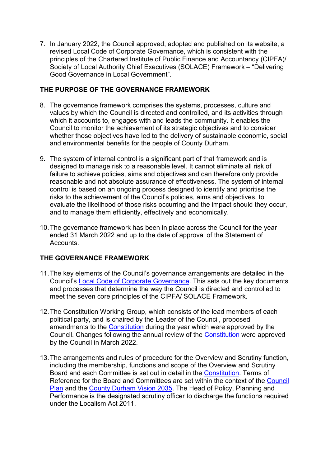7. In January 2022, the Council approved, adopted and published on its website, a revised Local Code of Corporate Governance, which is consistent with the principles of the Chartered Institute of Public Finance and Accountancy (CIPFA)/ Society of Local Authority Chief Executives (SOLACE) Framework – "Delivering Good Governance in Local Government".

### **THE PURPOSE OF THE GOVERNANCE FRAMEWORK**

- 8. The governance framework comprises the systems, processes, culture and values by which the Council is directed and controlled, and its activities through which it accounts to, engages with and leads the community. It enables the Council to monitor the achievement of its strategic objectives and to consider whether those objectives have led to the delivery of sustainable economic, social and environmental benefits for the people of County Durham.
- 9. The system of internal control is a significant part of that framework and is designed to manage risk to a reasonable level. It cannot eliminate all risk of failure to achieve policies, aims and objectives and can therefore only provide reasonable and not absolute assurance of effectiveness. The system of internal control is based on an ongoing process designed to identify and prioritise the risks to the achievement of the Council's policies, aims and objectives, to evaluate the likelihood of those risks occurring and the impact should they occur, and to manage them efficiently, effectively and economically.
- 10. The governance framework has been in place across the Council for the year ended 31 March 2022 and up to the date of approval of the Statement of Accounts.

### **THE GOVERNANCE FRAMEWORK**

- 11. The key elements of the Council's governance arrangements are detailed in the Council's Local Code of Corporate Governance. This sets out the key documents and processes that determine the way the Council is directed and controlled to meet the seven core principles of the CIPFA/ SOLACE Framework.
- 12. The Constitution Working Group, which consists of the lead members of each political party, and is chaired by the Leader of the Council, proposed amendments to the Constitution during the year which were approved by the Council. Changes following the annual review of the Constitution were approved by the Council in March 2022.
- 13. The arrangements and rules of procedure for the Overview and Scrutiny function, including the membership, functions and scope of the Overview and Scrutiny Board and each Committee is set out in detail in the Constitution. Terms of Reference for the Board and Committees are set within the context of the Council Plan and the County Durham Vision 2035. The Head of Policy, Planning and Performance is the designated scrutiny officer to discharge the functions required under the Localism Act 2011.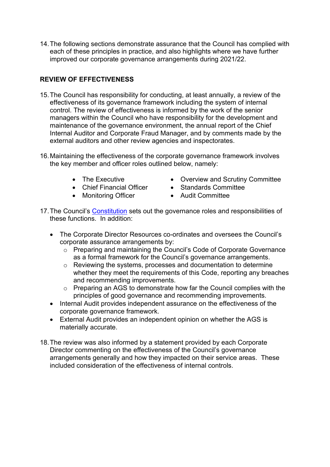14. The following sections demonstrate assurance that the Council has complied with each of these principles in practice, and also highlights where we have further improved our corporate governance arrangements during 2021/22.

## **REVIEW OF EFFECTIVENESS**

- 15. The Council has responsibility for conducting, at least annually, a review of the effectiveness of its governance framework including the system of internal control. The review of effectiveness is informed by the work of the senior managers within the Council who have responsibility for the development and maintenance of the governance environment, the annual report of the Chief Internal Auditor and Corporate Fraud Manager, and by comments made by the external auditors and other review agencies and inspectorates.
- 16. Maintaining the effectiveness of the corporate governance framework involves the key member and officer roles outlined below, namely:
	-
	- Chief Financial Officer Standards Committee
	- Monitoring Officer Audit Committee
	- The Executive **CONFINGTI** Overview and Scrutiny Committee
		-
		-
- 17. The Council's Constitution sets out the governance roles and responsibilities of these functions. In addition:
	- The Corporate Director Resources co-ordinates and oversees the Council's corporate assurance arrangements by:
		- o Preparing and maintaining the Council's Code of Corporate Governance as a formal framework for the Council's governance arrangements.
		- o Reviewing the systems, processes and documentation to determine whether they meet the requirements of this Code, reporting any breaches and recommending improvements.
		- o Preparing an AGS to demonstrate how far the Council complies with the principles of good governance and recommending improvements.
	- Internal Audit provides independent assurance on the effectiveness of the corporate governance framework.
	- External Audit provides an independent opinion on whether the AGS is materially accurate.
- 18. The review was also informed by a statement provided by each Corporate Director commenting on the effectiveness of the Council's governance arrangements generally and how they impacted on their service areas. These included consideration of the effectiveness of internal controls.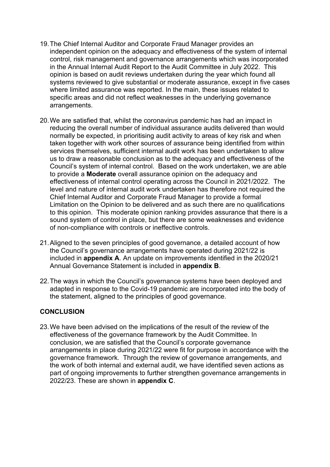- 19. The Chief Internal Auditor and Corporate Fraud Manager provides an independent opinion on the adequacy and effectiveness of the system of internal control, risk management and governance arrangements which was incorporated in the Annual Internal Audit Report to the Audit Committee in July 2022. This opinion is based on audit reviews undertaken during the year which found all systems reviewed to give substantial or moderate assurance, except in five cases where limited assurance was reported. In the main, these issues related to specific areas and did not reflect weaknesses in the underlying governance arrangements.
- 20. We are satisfied that, whilst the coronavirus pandemic has had an impact in reducing the overall number of individual assurance audits delivered than would normally be expected, in prioritising audit activity to areas of key risk and when taken together with work other sources of assurance being identified from within services themselves, sufficient internal audit work has been undertaken to allow us to draw a reasonable conclusion as to the adequacy and effectiveness of the Council's system of internal control. Based on the work undertaken, we are able to provide a **Moderate** overall assurance opinion on the adequacy and effectiveness of internal control operating across the Council in 2021/2022. The level and nature of internal audit work undertaken has therefore not required the Chief Internal Auditor and Corporate Fraud Manager to provide a formal Limitation on the Opinion to be delivered and as such there are no qualifications to this opinion. This moderate opinion ranking provides assurance that there is a sound system of control in place, but there are some weaknesses and evidence of non-compliance with controls or ineffective controls.
- 21. Aligned to the seven principles of good governance, a detailed account of how the Council's governance arrangements have operated during 2021/22 is included in **appendix A**. An update on improvements identified in the 2020/21 Annual Governance Statement is included in **appendix B**.
- 22. The ways in which the Council's governance systems have been deployed and adapted in response to the Covid-19 pandemic are incorporated into the body of the statement, aligned to the principles of good governance.

### **CONCLUSION**

23. We have been advised on the implications of the result of the review of the effectiveness of the governance framework by the Audit Committee. In conclusion, we are satisfied that the Council's corporate governance arrangements in place during 2021/22 were fit for purpose in accordance with the governance framework. Through the review of governance arrangements, and the work of both internal and external audit, we have identified seven actions as part of ongoing improvements to further strengthen governance arrangements in 2022/23. These are shown in **appendix C**.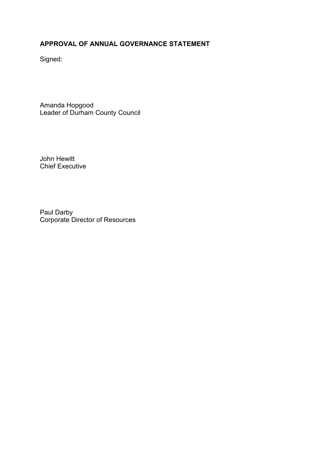# **APPROVAL OF ANNUAL GOVERNANCE STATEMENT**

Signed:

Amanda Hopgood Leader of Durham County Council

John Hewitt Chief Executive

Paul Darby Corporate Director of Resources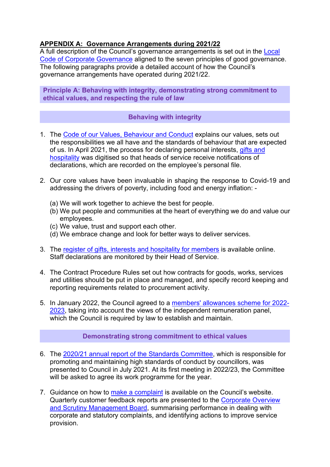### **APPENDIX A: Governance Arrangements during 2021/22**

A full description of the Council's governance arrangements is set out in the Local Code of Corporate Governance aligned to the seven principles of good governance. The following paragraphs provide a detailed account of how the Council's governance arrangements have operated during 2021/22.

**Principle A: Behaving with integrity, demonstrating strong commitment to ethical values, and respecting the rule of law**

### **Behaving with integrity**

- 1. The Code of our Values, Behaviour and Conduct explains our values, sets out the responsibilities we all have and the standards of behaviour that are expected of us. In April 2021, the process for declaring personal interests, gifts and hospitality was digitised so that heads of service receive notifications of declarations, which are recorded on the employee's personal file.
- 2. Our core values have been invaluable in shaping the response to Covid-19 and addressing the drivers of poverty, including food and energy inflation: -
	- (a) We will work together to achieve the best for people.
	- (b) We put people and communities at the heart of everything we do and value our employees.
	- (c) We value, trust and support each other.
	- (d) We embrace change and look for better ways to deliver services.
- 3. The register of gifts, interests and hospitality for members is available online. Staff declarations are monitored by their Head of Service.
- 4. The Contract Procedure Rules set out how contracts for goods, works, services and utilities should be put in place and managed, and specify record keeping and reporting requirements related to procurement activity.
- 5. In January 2022, the Council agreed to a members' allowances scheme for 2022- 2023, taking into account the views of the independent remuneration panel, which the Council is required by law to establish and maintain.

### **Demonstrating strong commitment to ethical values**

- 6. The 2020/21 annual report of the Standards Committee, which is responsible for promoting and maintaining high standards of conduct by councillors, was presented to Council in July 2021. At its first meeting in 2022/23, the Committee will be asked to agree its work programme for the year.
- 7. Guidance on how to make a complaint is available on the Council's website. Quarterly customer feedback reports are presented to the Corporate Overview and Scrutiny Management Board, summarising performance in dealing with corporate and statutory complaints, and identifying actions to improve service provision.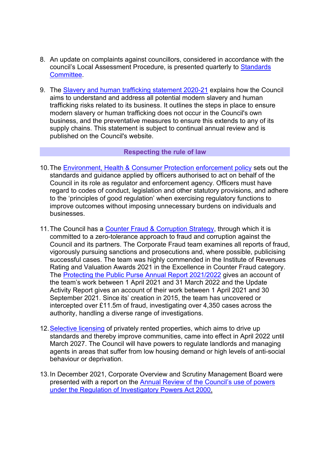- 8. An update on complaints against councillors, considered in accordance with the council's Local Assessment Procedure, is presented quarterly to Standards Committee.
- 9. The Slavery and human trafficking statement 2020-21 explains how the Council aims to understand and address all potential modern slavery and human trafficking risks related to its business. It outlines the steps in place to ensure modern slavery or human trafficking does not occur in the Council's own business, and the preventative measures to ensure this extends to any of its supply chains. This statement is subject to continual annual review and is published on the Council's website.

#### **Respecting the rule of law**

- 10. The Environment, Health & Consumer Protection enforcement policy sets out the standards and guidance applied by officers authorised to act on behalf of the Council in its role as regulator and enforcement agency. Officers must have regard to codes of conduct, legislation and other statutory provisions, and adhere to the 'principles of good regulation' when exercising regulatory functions to improve outcomes without imposing unnecessary burdens on individuals and businesses.
- 11. The Council has a Counter Fraud & Corruption Strategy, through which it is committed to a zero-tolerance approach to fraud and corruption against the Council and its partners. The Corporate Fraud team examines all reports of fraud, vigorously pursuing sanctions and prosecutions and, where possible, publicising successful cases. The team was highly commended in the Institute of Revenues Rating and Valuation Awards 2021 in the Excellence in Counter Fraud category. The Protecting the Public Purse Annual Report 2021/2022 gives an account of the team's work between 1 April 2021 and 31 March 2022 and the Update Activity Report gives an account of their work between 1 April 2021 and 30 September 2021. Since its' creation in 2015, the team has uncovered or intercepted over £11.5m of fraud, investigating over 4,350 cases across the authority, handling a diverse range of investigations.
- 12. Selective licensing of privately rented properties, which aims to drive up standards and thereby improve communities, came into effect in April 2022 until March 2027. The Council will have powers to regulate landlords and managing agents in areas that suffer from low housing demand or high levels of anti-social behaviour or deprivation.
- 13. In December 2021, Corporate Overview and Scrutiny Management Board were presented with a report on the Annual Review of the Council's use of powers under the Regulation of Investigatory Powers Act 2000.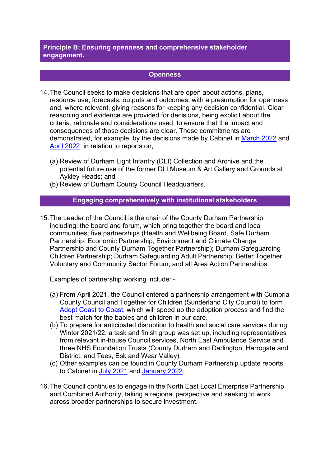**Principle B: Ensuring openness and comprehensive stakeholder engagement.**

#### **Openness**

- 14. The Council seeks to make decisions that are open about actions, plans, resource use, forecasts, outputs and outcomes, with a presumption for openness and, where relevant, giving reasons for keeping any decision confidential. Clear reasoning and evidence are provided for decisions, being explicit about the criteria, rationale and considerations used, to ensure that the impact and consequences of those decisions are clear. These commitments are demonstrated, for example, by the decisions made by Cabinet in March 2022 and April 2022 in relation to reports on,
	- (a) Review of Durham Light Infantry (DLI) Collection and Archive and the potential future use of the former DLI Museum & Art Gallery and Grounds at Aykley Heads; and
	- (b) Review of Durham County Council Headquarters.

#### **Engaging comprehensively with institutional stakeholders**

15. The Leader of the Council is the chair of the County Durham Partnership including: the board and forum, which bring together the board and local communities; five partnerships (Health and Wellbeing Board, Safe Durham Partnership, Economic Partnership, Environment and Climate Change Partnership and County Durham Together Partnership); Durham Safeguarding Children Partnership; Durham Safeguarding Adult Partnership; Better Together Voluntary and Community Sector Forum; and all Area Action Partnerships.

Examples of partnership working include: -

- (a) From April 2021, the Council entered a partnership arrangement with Cumbria County Council and Together for Children (Sunderland City Council) to form Adopt Coast to Coast, which will speed up the adoption process and find the best match for the babies and children in our care.
- (b) To prepare for anticipated disruption to health and social care services during Winter 2021/22, a task and finish group was set up, including representatives from relevant in-house Council services, North East Ambulance Service and three NHS Foundation Trusts (County Durham and Darlington; Harrogate and District; and Tees, Esk and Wear Valley).
- (c) Other examples can be found in County Durham Partnership update reports to Cabinet in July 2021 and January 2022.
- 16. The Council continues to engage in the North East Local Enterprise Partnership and Combined Authority, taking a regional perspective and seeking to work across broader partnerships to secure investment.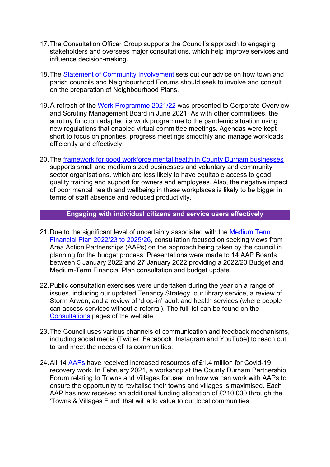- 17. The Consultation Officer Group supports the Council's approach to engaging stakeholders and oversees major consultations, which help improve services and influence decision-making.
- 18. The Statement of Community Involvement sets out our advice on how town and parish councils and Neighbourhood Forums should seek to involve and consult on the preparation of Neighbourhood Plans.
- 19. A refresh of the Work Programme 2021/22 was presented to Corporate Overview and Scrutiny Management Board in June 2021. As with other committees, the scrutiny function adapted its work programme to the pandemic situation using new regulations that enabled virtual committee meetings. Agendas were kept short to focus on priorities, progress meetings smoothly and manage workloads efficiently and effectively.
- 20. The framework for good workforce mental health in County Durham businesses supports small and medium sized businesses and voluntary and community sector organisations, which are less likely to have equitable access to good quality training and support for owners and employees. Also, the negative impact of poor mental health and wellbeing in these workplaces is likely to be bigger in terms of staff absence and reduced productivity.

### **Engaging with individual citizens and service users effectively**

- 21. Due to the significant level of uncertainty associated with the Medium Term Financial Plan 2022/23 to 2025/26, consultation focused on seeking views from Area Action Partnerships (AAPs) on the approach being taken by the council in planning for the budget process. Presentations were made to 14 AAP Boards between 5 January 2022 and 27 January 2022 providing a 2022/23 Budget and Medium-Term Financial Plan consultation and budget update.
- 22. Public consultation exercises were undertaken during the year on a range of issues, including our updated Tenancy Strategy, our library service, a review of Storm Arwen, and a review of 'drop-in' adult and health services (where people can access services without a referral). The full list can be found on the Consultations pages of the website.
- 23. The Council uses various channels of communication and feedback mechanisms, including social media (Twitter, Facebook, Instagram and YouTube) to reach out to and meet the needs of its communities.
- 24. All 14 AAPs have received increased resources of £1.4 million for Covid-19 recovery work. In February 2021, a workshop at the County Durham Partnership Forum relating to Towns and Villages focused on how we can work with AAPs to ensure the opportunity to revitalise their towns and villages is maximised. Each AAP has now received an additional funding allocation of £210,000 through the 'Towns & Villages Fund' that will add value to our local communities.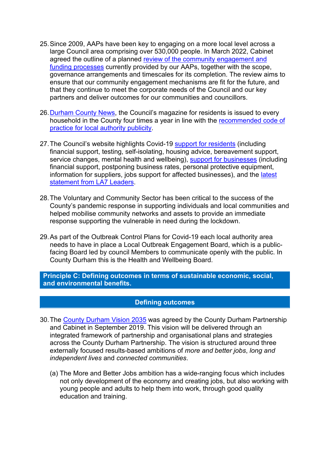- 25. Since 2009, AAPs have been key to engaging on a more local level across a large Council area comprising over 530,000 people. In March 2022, Cabinet agreed the outline of a planned review of the community engagement and funding processes currently provided by our AAPs, together with the scope, governance arrangements and timescales for its completion. The review aims to ensure that our community engagement mechanisms are fit for the future, and that they continue to meet the corporate needs of the Council and our key partners and deliver outcomes for our communities and councillors.
- 26. Durham County News, the Council's magazine for residents is issued to every household in the County four times a year in line with the recommended code of practice for local authority publicity.
- 27. The Council's website highlights Covid-19 support for residents (including financial support, testing, self-isolating, housing advice, bereavement support, service changes, mental health and wellbeing), support for businesses (including financial support, postponing business rates, personal protective equipment, information for suppliers, jobs support for affected businesses), and the latest statement from LA7 Leaders.
- 28. The Voluntary and Community Sector has been critical to the success of the County's pandemic response in supporting individuals and local communities and helped mobilise community networks and assets to provide an immediate response supporting the vulnerable in need during the lockdown.
- 29. As part of the Outbreak Control Plans for Covid-19 each local authority area needs to have in place a Local Outbreak Engagement Board, which is a publicfacing Board led by council Members to communicate openly with the public. In County Durham this is the Health and Wellbeing Board.

**Principle C: Defining outcomes in terms of sustainable economic, social, and environmental benefits.**

#### **Defining outcomes**

- 30. The County Durham Vision 2035 was agreed by the County Durham Partnership and Cabinet in September 2019. This vision will be delivered through an integrated framework of partnership and organisational plans and strategies across the County Durham Partnership. The vision is structured around three externally focused results-based ambitions of *more and better jobs*, *long and independent lives* and *connected communities*.
	- (a) The More and Better Jobs ambition has a wide-ranging focus which includes not only development of the economy and creating jobs, but also working with young people and adults to help them into work, through good quality education and training.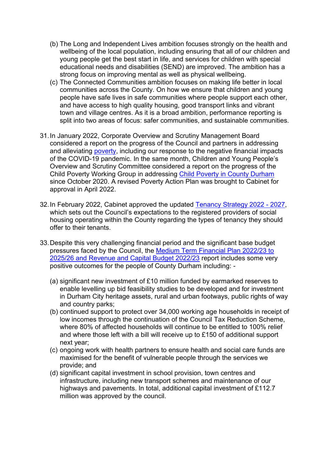- (b) The Long and Independent Lives ambition focuses strongly on the health and wellbeing of the local population, including ensuring that all of our children and young people get the best start in life, and services for children with special educational needs and disabilities (SEND) are improved. The ambition has a strong focus on improving mental as well as physical wellbeing.
- (c) The Connected Communities ambition focuses on making life better in local communities across the County. On how we ensure that children and young people have safe lives in safe communities where people support each other, and have access to high quality housing, good transport links and vibrant town and village centres. As it is a broad ambition, performance reporting is split into two areas of focus: safer communities, and sustainable communities.
- 31. In January 2022, Corporate Overview and Scrutiny Management Board considered a report on the progress of the Council and partners in addressing and alleviating poverty, including our response to the negative financial impacts of the COVID-19 pandemic. In the same month, Children and Young People's Overview and Scrutiny Committee considered a report on the progress of the Child Poverty Working Group in addressing Child Poverty in County Durham since October 2020. A revised Poverty Action Plan was brought to Cabinet for approval in April 2022.
- 32. In February 2022, Cabinet approved the updated Tenancy Strategy 2022 2027, which sets out the Council's expectations to the registered providers of social housing operating within the County regarding the types of tenancy they should offer to their tenants.
- 33. Despite this very challenging financial period and the significant base budget pressures faced by the Council, the Medium Term Financial Plan 2022/23 to 2025/26 and Revenue and Capital Budget 2022/23 report includes some very positive outcomes for the people of County Durham including: -
	- (a) significant new investment of £10 million funded by earmarked reserves to enable levelling up bid feasibility studies to be developed and for investment in Durham City heritage assets, rural and urban footways, public rights of way and country parks;
	- (b) continued support to protect over 34,000 working age households in receipt of low incomes through the continuation of the Council Tax Reduction Scheme, where 80% of affected households will continue to be entitled to 100% relief and where those left with a bill will receive up to £150 of additional support next year;
	- (c) ongoing work with health partners to ensure health and social care funds are maximised for the benefit of vulnerable people through the services we provide; and
	- (d) significant capital investment in school provision, town centres and infrastructure, including new transport schemes and maintenance of our highways and pavements. In total, additional capital investment of £112.7 million was approved by the council.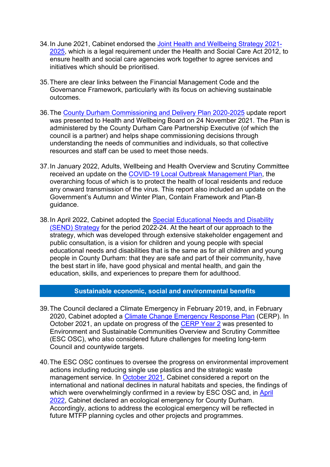- 34. In June 2021, Cabinet endorsed the Joint Health and Wellbeing Strategy 2021- 2025, which is a legal requirement under the Health and Social Care Act 2012. to ensure health and social care agencies work together to agree services and initiatives which should be prioritised.
- 35. There are clear links between the Financial Management Code and the Governance Framework, particularly with its focus on achieving sustainable outcomes.
- 36. The County Durham Commissioning and Delivery Plan 2020-2025 update report was presented to Health and Wellbeing Board on 24 November 2021. The Plan is administered by the County Durham Care Partnership Executive (of which the council is a partner) and helps shape commissioning decisions through understanding the needs of communities and individuals, so that collective resources and staff can be used to meet those needs.
- 37. In January 2022, Adults, Wellbeing and Health Overview and Scrutiny Committee received an update on the COVID-19 Local Outbreak Management Plan, the overarching focus of which is to protect the health of local residents and reduce any onward transmission of the virus. This report also included an update on the Government's Autumn and Winter Plan, Contain Framework and Plan-B guidance.
- 38. In April 2022, Cabinet adopted the Special Educational Needs and Disability (SEND) Strategy for the period 2022-24. At the heart of our approach to the strategy, which was developed through extensive stakeholder engagement and public consultation, is a vision for children and young people with special educational needs and disabilities that is the same as for all children and young people in County Durham: that they are safe and part of their community, have the best start in life, have good physical and mental health, and gain the education, skills, and experiences to prepare them for adulthood.

#### **Sustainable economic, social and environmental benefits**

- 39. The Council declared a Climate Emergency in February 2019, and, in February 2020, Cabinet adopted a Climate Change Emergency Response Plan (CERP). In October 2021, an update on progress of the CERP Year 2 was presented to Environment and Sustainable Communities Overview and Scrutiny Committee (ESC OSC), who also considered future challenges for meeting long-term Council and countywide targets.
- 40. The ESC OSC continues to oversee the progress on environmental improvement actions including reducing single use plastics and the strategic waste management service. In October 2021, Cabinet considered a report on the international and national declines in natural habitats and species, the findings of which were overwhelmingly confirmed in a review by ESC OSC and, in April 2022, Cabinet declared an ecological emergency for County Durham. Accordingly, actions to address the ecological emergency will be reflected in future MTFP planning cycles and other projects and programmes.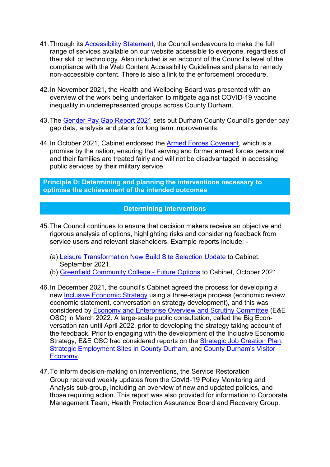- 41. Through its Accessibility Statement, the Council endeavours to make the full range of services available on our website accessible to everyone, regardless of their skill or technology. Also included is an account of the Council's level of the compliance with the Web Content Accessibility Guidelines and plans to remedy non-accessible content. There is also a link to the enforcement procedure.
- 42. In November 2021, the Health and Wellbeing Board was presented with an overview of the work being undertaken to mitigate against COVID-19 vaccine inequality in underrepresented groups across County Durham.
- 43. The Gender Pay Gap Report 2021 sets out Durham County Council's gender pay gap data, analysis and plans for long term improvements.
- 44. In October 2021, Cabinet endorsed the Armed Forces Covenant, which is a promise by the nation, ensuring that serving and former armed forces personnel and their families are treated fairly and will not be disadvantaged in accessing public services by their military service.

**Principle D: Determining and planning the interventions necessary to optimise the achievement of the intended outcomes**

#### **Determining interventions**

- 45. The Council continues to ensure that decision makers receive an objective and rigorous analysis of options, highlighting risks and considering feedback from service users and relevant stakeholders. Example reports include: -
	- (a) Leisure Transformation New Build Site Selection Update to Cabinet, September 2021.
	- (b) Greenfield Community College Future Options to Cabinet, October 2021.
- 46. In December 2021, the council's Cabinet agreed the process for developing a new Inclusive Economic Strategy using a three-stage process (economic review, economic statement, conversation on strategy development), and this was considered by Economy and Enterprise Overview and Scrutiny Committee (E&E OSC) in March 2022. A large-scale public consultation, called the Big Econversation ran until April 2022, prior to developing the strategy taking account of the feedback. Prior to engaging with the development of the Inclusive Economic Strategy, E&E OSC had considered reports on the **Strategic Job Creation Plan**, Strategic Employment Sites in County Durham, and County Durham's Visitor Economy.
- 47. To inform decision-making on interventions, the Service Restoration Group received weekly updates from the Covid-19 Policy Monitoring and Analysis sub-group, including an overview of new and updated policies, and those requiring action. This report was also provided for information to Corporate Management Team, Health Protection Assurance Board and Recovery Group.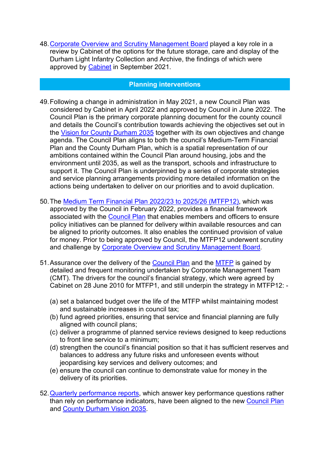48. Corporate Overview and Scrutiny Management Board played a key role in a review by Cabinet of the options for the future storage, care and display of the Durham Light Infantry Collection and Archive, the findings of which were approved by Cabinet in September 2021.

#### **Planning interventions**

- 49. Following a change in administration in May 2021, a new Council Plan was considered by Cabinet in April 2022 and approved by Council in June 2022. The Council Plan is the primary corporate planning document for the county council and details the Council's contribution towards achieving the objectives set out in the Vision for County Durham 2035 together with its own objectives and change agenda. The Council Plan aligns to both the council's Medium-Term Financial Plan and the County Durham Plan, which is a spatial representation of our ambitions contained within the Council Plan around housing, jobs and the environment until 2035, as well as the transport, schools and infrastructure to support it. The Council Plan is underpinned by a series of corporate strategies and service planning arrangements providing more detailed information on the actions being undertaken to deliver on our priorities and to avoid duplication.
- 50. The Medium Term Financial Plan 2022/23 to 2025/26 (MTFP12), which was approved by the Council in February 2022, provides a financial framework associated with the Council Plan that enables members and officers to ensure policy initiatives can be planned for delivery within available resources and can be aligned to priority outcomes. It also enables the continued provision of value for money. Prior to being approved by Council, the MTFP12 underwent scrutiny and challenge by Corporate Overview and Scrutiny Management Board.
- 51. Assurance over the delivery of the Council Plan and the MTFP is gained by detailed and frequent monitoring undertaken by Corporate Management Team (CMT). The drivers for the council's financial strategy, which were agreed by Cabinet on 28 June 2010 for MTFP1, and still underpin the strategy in MTFP12: -
	- (a) set a balanced budget over the life of the MTFP whilst maintaining modest and sustainable increases in council tax;
	- (b) fund agreed priorities, ensuring that service and financial planning are fully aligned with council plans;
	- (c) deliver a programme of planned service reviews designed to keep reductions to front line service to a minimum;
	- (d) strengthen the council's financial position so that it has sufficient reserves and balances to address any future risks and unforeseen events without jeopardising key services and delivery outcomes; and
	- (e) ensure the council can continue to demonstrate value for money in the delivery of its priorities.
- 52. Quarterly performance reports, which answer key performance questions rather than rely on performance indicators, have been aligned to the new Council Plan and County Durham Vision 2035.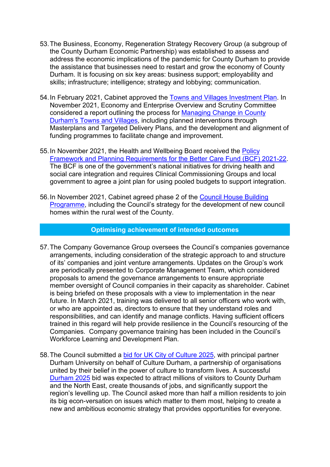- 53. The Business, Economy, Regeneration Strategy Recovery Group (a subgroup of the County Durham Economic Partnership) was established to assess and address the economic implications of the pandemic for County Durham to provide the assistance that businesses need to restart and grow the economy of County Durham. It is focusing on six key areas: business support; employability and skills; infrastructure; intelligence; strategy and lobbying; communication.
- 54. In February 2021, Cabinet approved the Towns and Villages Investment Plan. In November 2021, Economy and Enterprise Overview and Scrutiny Committee considered a report outlining the process for Managing Change in County Durham's Towns and Villages, including planned interventions through Masterplans and Targeted Delivery Plans, and the development and alignment of funding programmes to facilitate change and improvement.
- 55. In November 2021, the Health and Wellbeing Board received the Policy Framework and Planning Requirements for the Better Care Fund (BCF) 2021-22. The BCF is one of the government's national initiatives for driving health and social care integration and requires Clinical Commissioning Groups and local government to agree a joint plan for using pooled budgets to support integration.
- 56. In November 2021, Cabinet agreed phase 2 of the Council House Building Programme, including the Council's strategy for the development of new council homes within the rural west of the County.

#### **Optimising achievement of intended outcomes**

- 57. The Company Governance Group oversees the Council's companies governance arrangements, including consideration of the strategic approach to and structure of its' companies and joint venture arrangements. Updates on the Group's work are periodically presented to Corporate Management Team, which considered proposals to amend the governance arrangements to ensure appropriate member oversight of Council companies in their capacity as shareholder. Cabinet is being briefed on these proposals with a view to implementation in the near future. In March 2021, training was delivered to all senior officers who work with, or who are appointed as, directors to ensure that they understand roles and responsibilities, and can identify and manage conflicts. Having sufficient officers trained in this regard will help provide resilience in the Council's resourcing of the Companies. Company governance training has been included in the Council's Workforce Learning and Development Plan.
- 58. The Council submitted a **bid for UK City of Culture 2025**, with principal partner Durham University on behalf of Culture Durham, a partnership of organisations united by their belief in the power of culture to transform lives. A successful Durham 2025 bid was expected to attract millions of visitors to County Durham and the North East, create thousands of jobs, and significantly support the region's levelling up. The Council asked more than half a million residents to join its big econ-versation on issues which matter to them most, helping to create a new and ambitious economic strategy that provides opportunities for everyone.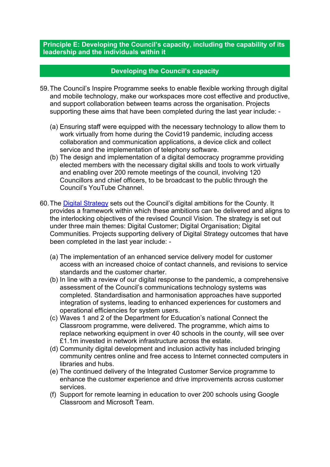**Principle E: Developing the Council's capacity, including the capability of its leadership and the individuals within it**

#### **Developing the Council's capacity**

- 59. The Council's Inspire Programme seeks to enable flexible working through digital and mobile technology, make our workspaces more cost effective and productive, and support collaboration between teams across the organisation. Projects supporting these aims that have been completed during the last year include: -
	- (a) Ensuring staff were equipped with the necessary technology to allow them to work virtually from home during the Covid19 pandemic, including access collaboration and communication applications, a device click and collect service and the implementation of telephony software.
	- (b) The design and implementation of a digital democracy programme providing elected members with the necessary digital skills and tools to work virtually and enabling over 200 remote meetings of the council, involving 120 Councillors and chief officers, to be broadcast to the public through the Council's YouTube Channel.
- 60. The Digital Strategy sets out the Council's digital ambitions for the County. It provides a framework within which these ambitions can be delivered and aligns to the interlocking objectives of the revised Council Vision. The strategy is set out under three main themes: Digital Customer; Digital Organisation; Digital Communities. Projects supporting delivery of Digital Strategy outcomes that have been completed in the last year include: -
	- (a) The implementation of an enhanced service delivery model for customer access with an increased choice of contact channels, and revisions to service standards and the customer charter.
	- (b) In line with a review of our digital response to the pandemic, a comprehensive assessment of the Council's communications technology systems was completed. Standardisation and harmonisation approaches have supported integration of systems, leading to enhanced experiences for customers and operational efficiencies for system users.
	- (c) Waves 1 and 2 of the Department for Education's national Connect the Classroom programme, were delivered. The programme, which aims to replace networking equipment in over 40 schools in the county, will see over £1.1m invested in network infrastructure across the estate.
	- (d) Community digital development and inclusion activity has included bringing community centres online and free access to Internet connected computers in libraries and hubs.
	- (e) The continued delivery of the Integrated Customer Service programme to enhance the customer experience and drive improvements across customer services.
	- (f) Support for remote learning in education to over 200 schools using Google Classroom and Microsoft Team.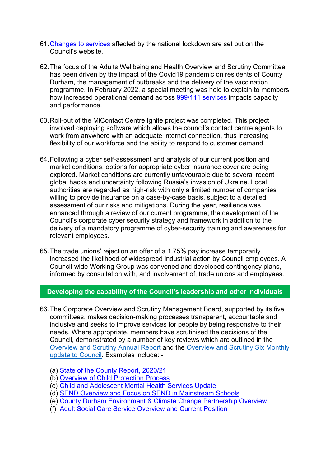- 61. Changes to services affected by the national lockdown are set out on the Council's website.
- 62. The focus of the Adults Wellbeing and Health Overview and Scrutiny Committee has been driven by the impact of the Covid19 pandemic on residents of County Durham, the management of outbreaks and the delivery of the vaccination programme. In February 2022, a special meeting was held to explain to members how increased operational demand across 999/111 services impacts capacity and performance.
- 63. Roll-out of the MiContact Centre Ignite project was completed. This project involved deploying software which allows the council's contact centre agents to work from anywhere with an adequate internet connection, thus increasing flexibility of our workforce and the ability to respond to customer demand.
- 64. Following a cyber self-assessment and analysis of our current position and market conditions, options for appropriate cyber insurance cover are being explored. Market conditions are currently unfavourable due to several recent global hacks and uncertainty following Russia's invasion of Ukraine. Local authorities are regarded as high-risk with only a limited number of companies willing to provide insurance on a case-by-case basis, subject to a detailed assessment of our risks and mitigations. During the year, resilience was enhanced through a review of our current programme, the development of the Council's corporate cyber security strategy and framework in addition to the delivery of a mandatory programme of cyber-security training and awareness for relevant employees.
- 65. The trade unions' rejection an offer of a 1.75% pay increase temporarily increased the likelihood of widespread industrial action by Council employees. A Council-wide Working Group was convened and developed contingency plans, informed by consultation with, and involvement of, trade unions and employees.

#### **Developing the capability of the Council's leadership and other individuals**

- 66. The Corporate Overview and Scrutiny Management Board, supported by its five committees, makes decision-making processes transparent, accountable and inclusive and seeks to improve services for people by being responsive to their needs. Where appropriate, members have scrutinised the decisions of the Council, demonstrated by a number of key reviews which are outlined in the Overview and Scrutiny Annual Report and the Overview and Scrutiny Six Monthly update to Council. Examples include: -
	- (a) State of the County Report, 2020/21
	- (b) Overview of Child Protection Process
	- (c) Child and Adolescent Mental Health Services Update
	- (d) SEND Overview and Focus on SEND in Mainstream Schools
	- (e) County Durham Environment & Climate Change Partnership Overview
	- (f) Adult Social Care Service Overview and Current Position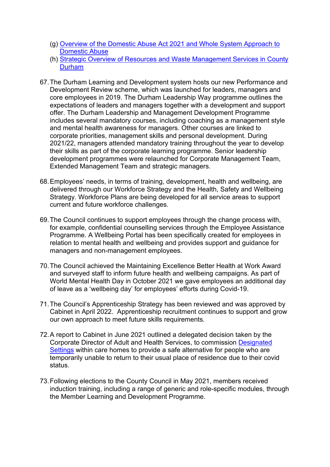- (g) Overview of the Domestic Abuse Act 2021 and Whole System Approach to Domestic Abuse
- (h) Strategic Overview of Resources and Waste Management Services in County **Durham**
- 67. The Durham Learning and Development system hosts our new Performance and Development Review scheme, which was launched for leaders, managers and core employees in 2019. The Durham Leadership Way programme outlines the expectations of leaders and managers together with a development and support offer. The Durham Leadership and Management Development Programme includes several mandatory courses, including coaching as a management style and mental health awareness for managers. Other courses are linked to corporate priorities, management skills and personal development. During 2021/22, managers attended mandatory training throughout the year to develop their skills as part of the corporate learning programme. Senior leadership development programmes were relaunched for Corporate Management Team, Extended Management Team and strategic managers.
- 68. Employees' needs, in terms of training, development, health and wellbeing, are delivered through our Workforce Strategy and the Health, Safety and Wellbeing Strategy. Workforce Plans are being developed for all service areas to support current and future workforce challenges.
- 69. The Council continues to support employees through the change process with, for example, confidential counselling services through the Employee Assistance Programme. A Wellbeing Portal has been specifically created for employees in relation to mental health and wellbeing and provides support and guidance for managers and non-management employees.
- 70. The Council achieved the Maintaining Excellence Better Health at Work Award and surveyed staff to inform future health and wellbeing campaigns. As part of World Mental Health Day in October 2021 we gave employees an additional day of leave as a 'wellbeing day' for employees' efforts during Covid-19.
- 71. The Council's Apprenticeship Strategy has been reviewed and was approved by Cabinet in April 2022. Apprenticeship recruitment continues to support and grow our own approach to meet future skills requirements.
- 72. A report to Cabinet in June 2021 outlined a delegated decision taken by the Corporate Director of Adult and Health Services, to commission Designated Settings within care homes to provide a safe alternative for people who are temporarily unable to return to their usual place of residence due to their covid status.
- 73. Following elections to the County Council in May 2021, members received induction training, including a range of generic and role-specific modules, through the Member Learning and Development Programme.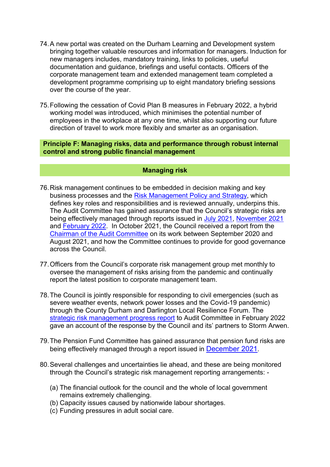- 74. A new portal was created on the Durham Learning and Development system bringing together valuable resources and information for managers. Induction for **Dringing tegeries includes, mandatory training, links to policies, useful** documentation and guidance, briefings and useful contacts. Officers of the corporate management team and extended management team completed a development programme comprising up to eight mandatory briefing sessions over the course of the year.
- 75. Following the cessation of Covid Plan B measures in February 2022, a hybrid working model was introduced, which minimises the potential number of employees in the workplace at any one time, whilst also supporting our future direction of travel to work more flexibly and smarter as an organisation.

**Principle F: Managing risks, data and performance through robust internal control and strong public financial management**

#### **Managing risk**

- 76. Risk management continues to be embedded in decision making and key business processes and the Risk Management Policy and Strategy, which defines key roles and responsibilities and is reviewed annually, underpins this. The Audit Committee has gained assurance that the Council's strategic risks are being effectively managed through reports issued in July 2021, November 2021 and February 2022. In October 2021, the Council received a report from the Chairman of the Audit Committee on its work between September 2020 and August 2021, and how the Committee continues to provide for good governance across the Council.
- 77. Officers from the Council's corporate risk management group met monthly to oversee the management of risks arising from the pandemic and continually report the latest position to corporate management team.
- 78. The Council is jointly responsible for responding to civil emergencies (such as severe weather events, network power losses and the Covid-19 pandemic) through the County Durham and Darlington Local Resilience Forum. The strategic risk management progress report to Audit Committee in February 2022 gave an account of the response by the Council and its' partners to Storm Arwen.
- 79. The Pension Fund Committee has gained assurance that pension fund risks are being effectively managed through a report issued in December 2021.
- 80. Several challenges and uncertainties lie ahead, and these are being monitored through the Council's strategic risk management reporting arrangements: -
	- (a) The financial outlook for the council and the whole of local government remains extremely challenging.
	- (b) Capacity issues caused by nationwide labour shortages.
	- (c) Funding pressures in adult social care.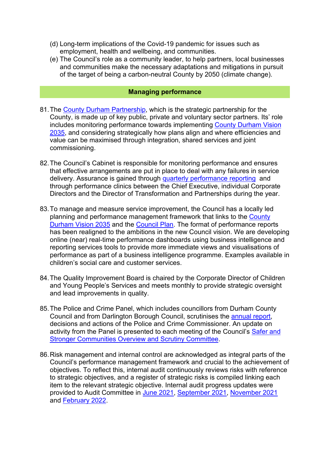- (d) Long-term implications of the Covid-19 pandemic for issues such as employment, health and wellbeing, and communities.
- (e) The Council's role as a community leader, to help partners, local businesses and communities make the necessary adaptations and mitigations in pursuit of the target of being a carbon-neutral County by 2050 (climate change).

#### **Managing performance**

- 81. The County Durham Partnership, which is the strategic partnership for the County, is made up of key public, private and voluntary sector partners. Its' role includes monitoring performance towards implementing County Durham Vision 2035, and considering strategically how plans align and where efficiencies and value can be maximised through integration, shared services and joint commissioning.
- 82. The Council's Cabinet is responsible for monitoring performance and ensures that effective arrangements are put in place to deal with any failures in service delivery. Assurance is gained through quarterly performance reporting and through performance clinics between the Chief Executive, individual Corporate Directors and the Director of Transformation and Partnerships during the year.
- 83. To manage and measure service improvement, the Council has a locally led planning and performance management framework that links to the County Durham Vision 2035 and the Council Plan. The format of performance reports has been realigned to the ambitions in the new Council vision. We are developing online (near) real-time performance dashboards using business intelligence and reporting services tools to provide more immediate views and visualisations of performance as part of a business intelligence programme. Examples available in children's social care and customer services.
- 84. The Quality Improvement Board is chaired by the Corporate Director of Children and Young People's Services and meets monthly to provide strategic oversight and lead improvements in quality.
- 85. The Police and Crime Panel, which includes councillors from Durham County Council and from Darlington Borough Council, scrutinises the annual report, decisions and actions of the Police and Crime Commissioner. An update on activity from the Panel is presented to each meeting of the Council's Safer and Stronger Communities Overview and Scrutiny Committee.
- 86. Risk management and internal control are acknowledged as integral parts of the Council's performance management framework and crucial to the achievement of objectives. To reflect this, internal audit continuously reviews risks with reference to strategic objectives, and a register of strategic risks is compiled linking each item to the relevant strategic objective. Internal audit progress updates were provided to Audit Committee in June 2021, September 2021, November 2021 and February 2022.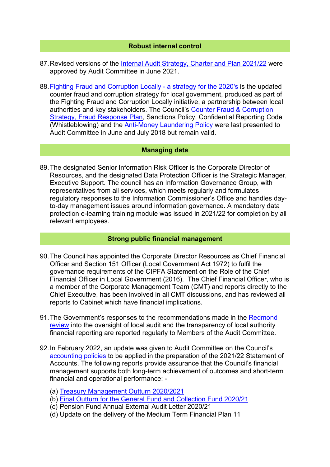#### **Robust internal control**

- 87. Revised versions of the Internal Audit Strategy, Charter and Plan 2021/22 were approved by Audit Committee in June 2021.
- 88. Fighting Fraud and Corruption Locally a strategy for the 2020's is the updated counter fraud and corruption strategy for local government, produced as part of the Fighting Fraud and Corruption Locally initiative, a partnership between local authorities and key stakeholders. The Council's Counter Fraud & Corruption Strategy, Fraud Response Plan, Sanctions Policy, Confidential Reporting Code (Whistleblowing) and the Anti-Money Laundering Policy were last presented to Audit Committee in June and July 2018 but remain valid.

#### **Managing data**

89. The designated Senior Information Risk Officer is the Corporate Director of Resources, and the designated Data Protection Officer is the Strategic Manager, Executive Support. The council has an Information Governance Group, with representatives from all services, which meets regularly and formulates regulatory responses to the Information Commissioner's Office and handles dayto-day management issues around information governance. A mandatory data protection e-learning training module was issued in 2021/22 for completion by all relevant employees.

#### **Strong public financial management**

- 90. The Council has appointed the Corporate Director Resources as Chief Financial Officer and Section 151 Officer (Local Government Act 1972) to fulfil the governance requirements of the CIPFA Statement on the Role of the Chief Financial Officer in Local Government (2016). The Chief Financial Officer, who is a member of the Corporate Management Team (CMT) and reports directly to the Chief Executive, has been involved in all CMT discussions, and has reviewed all reports to Cabinet which have financial implications.
- 91. The Government's responses to the recommendations made in the Redmond review into the oversight of local audit and the transparency of local authority financial reporting are reported regularly to Members of the Audit Committee.
- 92. In February 2022, an update was given to Audit Committee on the Council's accounting policies to be applied in the preparation of the 2021/22 Statement of Accounts. The following reports provide assurance that the Council's financial management supports both long-term achievement of outcomes and short-term financial and operational performance: -
	- (a) Treasury Management Outturn 2020/2021
	- (b) Final Outturn for the General Fund and Collection Fund 2020/21
	- (c) Pension Fund Annual External Audit Letter 2020/21
	- (d) Update on the delivery of the Medium Term Financial Plan 11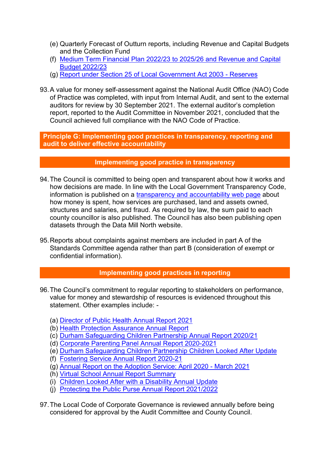- (e) Quarterly Forecast of Outturn reports, including Revenue and Capital Budgets and the Collection Fund
- (f) Medium Term Financial Plan 2022/23 to 2025/26 and Revenue and Capital Budget 2022/23
- (g) Report under Section 25 of Local Government Act 2003 Reserves
- 93. A value for money self-assessment against the National Audit Office (NAO) Code of Practice was completed, with input from Internal Audit, and sent to the external auditors for review by 30 September 2021. The external auditor's completion report, reported to the Audit Committee in November 2021, concluded that the Council achieved full compliance with the NAO Code of Practice.

#### **Principle G: Implementing good practices in transparency, reporting and audit to deliver effective accountability**

### **Implementing good practice in transparency**

- 94. The Council is committed to being open and transparent about how it works and how decisions are made. In line with the Local Government Transparency Code, information is published on a transparency and accountability web page about how money is spent, how services are purchased, land and assets owned, structures and salaries, and fraud. As required by law, the sum paid to each county councillor is also published. The Council has also been publishing open datasets through the Data Mill North website.
- 95. Reports about complaints against members are included in part A of the Standards Committee agenda rather than part B (consideration of exempt or confidential information).

### **Implementing good practices in reporting**

- 96. The Council's commitment to regular reporting to stakeholders on performance, value for money and stewardship of resources is evidenced throughout this statement. Other examples include: -
	- (a) Director of Public Health Annual Report 2021
	- (b) Health Protection Assurance Annual Report
	- (c) Durham Safeguarding Children Partnership Annual Report 2020/21
	- (d) Corporate Parenting Panel Annual Report 2020-2021
	- (e) Durham Safeguarding Children Partnership Children Looked After Update
	- (f) Fostering Service Annual Report 2020-21
	- (g) Annual Report on the Adoption Service: April 2020 March 2021
	- (h) Virtual School Annual Report Summary
	- (i) Children Looked After with a Disability Annual Update
	- (j) Protecting the Public Purse Annual Report 2021/2022
- 97. The Local Code of Corporate Governance is reviewed annually before being considered for approval by the Audit Committee and County Council.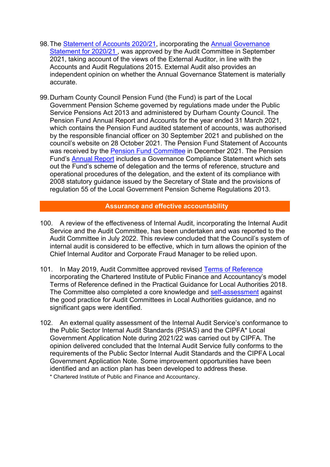- 98. The Statement of Accounts 2020/21, incorporating the Annual Governance Statement for 2020/21 , was approved by the Audit Committee in September 2021, taking account of the views of the External Auditor, in line with the Accounts and Audit Regulations 2015. External Audit also provides an independent opinion on whether the Annual Governance Statement is materially accurate.
- 99. Durham County Council Pension Fund (the Fund) is part of the Local Government Pension Scheme governed by regulations made under the Public Service Pensions Act 2013 and administered by Durham County Council. The Pension Fund Annual Report and Accounts for the year ended 31 March 2021, which contains the Pension Fund audited statement of accounts, was authorised by the responsible financial officer on 30 September 2021 and published on the council's website on 28 October 2021. The Pension Fund Statement of Accounts was received by the Pension Fund Committee in December 2021. The Pension Fund's Annual Report includes a Governance Compliance Statement which sets out the Fund's scheme of delegation and the terms of reference, structure and operational procedures of the delegation, and the extent of its compliance with 2008 statutory guidance issued by the Secretary of State and the provisions of regulation 55 of the Local Government Pension Scheme Regulations 2013.

#### **Assurance and effective accountability**

- 100. A review of the effectiveness of Internal Audit, incorporating the Internal Audit Service and the Audit Committee, has been undertaken and was reported to the Audit Committee in July 2022. This review concluded that the Council's system of internal audit is considered to be effective, which in turn allows the opinion of the Chief Internal Auditor and Corporate Fraud Manager to be relied upon.
- 101. In May 2019, Audit Committee approved revised Terms of Reference incorporating the Chartered Institute of Public Finance and Accountancy's model Terms of Reference defined in the Practical Guidance for Local Authorities 2018. The Committee also completed a core knowledge and self-assessment against the good practice for Audit Committees in Local Authorities guidance, and no significant gaps were identified.
- 102. An external quality assessment of the Internal Audit Service's conformance to the Public Sector Internal Audit Standards (PSIAS) and the CIPFA\* Local Government Application Note during 2021/22 was carried out by CIPFA. The opinion delivered concluded that the Internal Audit Service fully conforms to the requirements of the Public Sector Internal Audit Standards and the CIPFA Local Government Application Note. Some improvement opportunities have been identified and an action plan has been developed to address these. \* Chartered Institute of Public and Finance and Accountancy.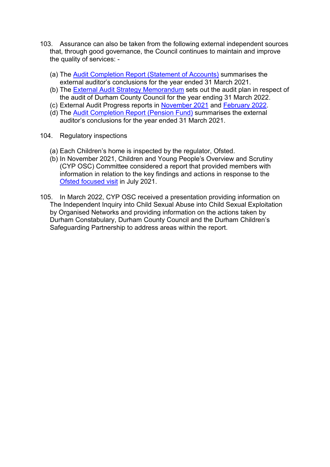- 103. Assurance can also be taken from the following external independent sources that, through good governance, the Council continues to maintain and improve the quality of services: -
	- (a) The Audit Completion Report (Statement of Accounts) summarises the external auditor's conclusions for the year ended 31 March 2021.
	- (b) The External Audit Strategy Memorandum sets out the audit plan in respect of the audit of Durham County Council for the year ending 31 March 2022.
	- (c) External Audit Progress reports in November 2021 and February 2022.
	- (d) The Audit Completion Report (Pension Fund) summarises the external auditor's conclusions for the year ended 31 March 2021.
- 104. Regulatory inspections
	- (a) Each Children's home is inspected by the regulator, Ofsted.
	- (b) In November 2021, Children and Young People's Overview and Scrutiny (CYP OSC) Committee considered a report that provided members with information in relation to the key findings and actions in response to the Ofsted focused visit in July 2021.
- 105. In March 2022, CYP OSC received a presentation providing information on The Independent Inquiry into Child Sexual Abuse into Child Sexual Exploitation by Organised Networks and providing information on the actions taken by Durham Constabulary, Durham County Council and the Durham Children's Safeguarding Partnership to address areas within the report.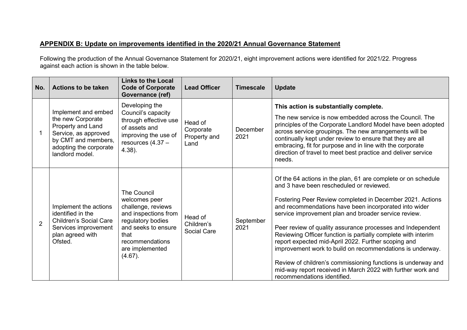### **APPENDIX B: Update on improvements identified in the 2020/21 Annual Governance Statement**

Following the production of the Annual Governance Statement for 2020/21, eight improvement actions were identified for 2021/22. Progress against each action is shown in the table below.

| No.            | <b>Actions to be taken</b>                                                                                                                                | <b>Links to the Local</b><br><b>Code of Corporate</b><br>Governance (ref)                                                                                                                 | <b>Lead Officer</b>                          | <b>Timescale</b>  | <b>Update</b>                                                                                                                                                                                                                                                                                                                                                                                                                                                                                                                                                                                                                                                                                            |
|----------------|-----------------------------------------------------------------------------------------------------------------------------------------------------------|-------------------------------------------------------------------------------------------------------------------------------------------------------------------------------------------|----------------------------------------------|-------------------|----------------------------------------------------------------------------------------------------------------------------------------------------------------------------------------------------------------------------------------------------------------------------------------------------------------------------------------------------------------------------------------------------------------------------------------------------------------------------------------------------------------------------------------------------------------------------------------------------------------------------------------------------------------------------------------------------------|
|                | Implement and embed<br>the new Corporate<br>Property and Land<br>Service, as approved<br>by CMT and members,<br>adopting the corporate<br>landlord model. | Developing the<br>Council's capacity<br>through effective use<br>of assets and<br>improving the use of<br>resources $(4.37 -$<br>$4.38$ ).                                                | Head of<br>Corporate<br>Property and<br>Land | December<br>2021  | This action is substantially complete.<br>The new service is now embedded across the Council. The<br>principles of the Corporate Landlord Model have been adopted<br>across service groupings. The new arrangements will be<br>continually kept under review to ensure that they are all<br>embracing, fit for purpose and in line with the corporate<br>direction of travel to meet best practice and deliver service<br>needs.                                                                                                                                                                                                                                                                         |
| $\overline{2}$ | Implement the actions<br>identified in the<br><b>Children's Social Care</b><br>Services improvement<br>plan agreed with<br>Ofsted.                        | <b>The Council</b><br>welcomes peer<br>challenge, reviews<br>and inspections from<br>regulatory bodies<br>and seeks to ensure<br>that<br>recommendations<br>are implemented<br>$(4.67)$ . | Head of<br>Children's<br><b>Social Care</b>  | September<br>2021 | Of the 64 actions in the plan, 61 are complete or on schedule<br>and 3 have been rescheduled or reviewed.<br>Fostering Peer Review completed in December 2021. Actions<br>and recommendations have been incorporated into wider<br>service improvement plan and broader service review.<br>Peer review of quality assurance processes and Independent<br>Reviewing Officer function is partially complete with interim<br>report expected mid-April 2022. Further scoping and<br>improvement work to build on recommendations is underway.<br>Review of children's commissioning functions is underway and<br>mid-way report received in March 2022 with further work and<br>recommendations identified. |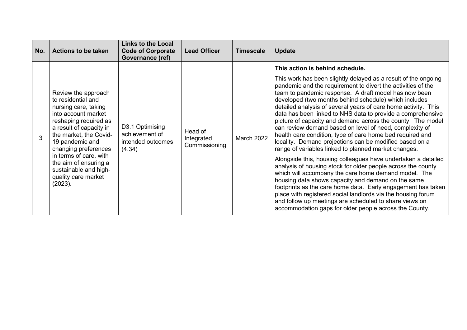| No. | <b>Actions to be taken</b>                                                                                                                                                                                                                                                                                                      | <b>Links to the Local</b><br><b>Code of Corporate</b><br>Governance (ref) | <b>Lead Officer</b>                    | <b>Timescale</b> | <b>Update</b>                                                                                                                                                                                                                                                                                                                                                                                                                                                                                                                                                                                                                                                                               |
|-----|---------------------------------------------------------------------------------------------------------------------------------------------------------------------------------------------------------------------------------------------------------------------------------------------------------------------------------|---------------------------------------------------------------------------|----------------------------------------|------------------|---------------------------------------------------------------------------------------------------------------------------------------------------------------------------------------------------------------------------------------------------------------------------------------------------------------------------------------------------------------------------------------------------------------------------------------------------------------------------------------------------------------------------------------------------------------------------------------------------------------------------------------------------------------------------------------------|
|     |                                                                                                                                                                                                                                                                                                                                 |                                                                           |                                        |                  | This action is behind schedule.                                                                                                                                                                                                                                                                                                                                                                                                                                                                                                                                                                                                                                                             |
| 3   | Review the approach<br>to residential and<br>nursing care, taking<br>into account market<br>reshaping required as<br>a result of capacity in<br>the market, the Covid-<br>19 pandemic and<br>changing preferences<br>in terms of care, with<br>the aim of ensuring a<br>sustainable and high-<br>quality care market<br>(2023). | D3.1 Optimising<br>achievement of<br>intended outcomes<br>(4.34)          | Head of<br>Integrated<br>Commissioning | March 2022       | This work has been slightly delayed as a result of the ongoing<br>pandemic and the requirement to divert the activities of the<br>team to pandemic response. A draft model has now been<br>developed (two months behind schedule) which includes<br>detailed analysis of several years of care home activity. This<br>data has been linked to NHS data to provide a comprehensive<br>picture of capacity and demand across the county. The model<br>can review demand based on level of need, complexity of<br>health care condition, type of care home bed required and<br>locality. Demand projections can be modified based on a<br>range of variables linked to planned market changes. |
|     |                                                                                                                                                                                                                                                                                                                                 |                                                                           |                                        |                  | Alongside this, housing colleagues have undertaken a detailed<br>analysis of housing stock for older people across the county<br>which will accompany the care home demand model. The<br>housing data shows capacity and demand on the same<br>footprints as the care home data. Early engagement has taken<br>place with registered social landlords via the housing forum<br>and follow up meetings are scheduled to share views on<br>accommodation gaps for older people across the County.                                                                                                                                                                                             |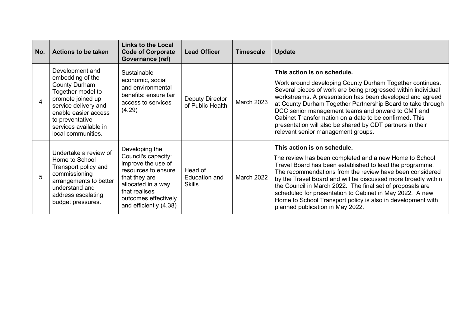| No. | <b>Actions to be taken</b>                                                                                                                                                                                              | <b>Links to the Local</b><br><b>Code of Corporate</b><br>Governance (ref)                                                                                                                    | <b>Lead Officer</b>                        | <b>Timescale</b> | <b>Update</b>                                                                                                                                                                                                                                                                                                                                                                                                                                                                                              |
|-----|-------------------------------------------------------------------------------------------------------------------------------------------------------------------------------------------------------------------------|----------------------------------------------------------------------------------------------------------------------------------------------------------------------------------------------|--------------------------------------------|------------------|------------------------------------------------------------------------------------------------------------------------------------------------------------------------------------------------------------------------------------------------------------------------------------------------------------------------------------------------------------------------------------------------------------------------------------------------------------------------------------------------------------|
| 4   | Development and<br>embedding of the<br><b>County Durham</b><br>Together model to<br>promote joined up<br>service delivery and<br>enable easier access<br>to preventative<br>services available in<br>local communities. | Sustainable<br>economic, social<br>and environmental<br>benefits: ensure fair<br>access to services<br>(4.29)                                                                                | <b>Deputy Director</b><br>of Public Health | March 2023       | This action is on schedule.<br>Work around developing County Durham Together continues.<br>Several pieces of work are being progressed within individual<br>workstreams. A presentation has been developed and agreed<br>at County Durham Together Partnership Board to take through<br>DCC senior management teams and onward to CMT and<br>Cabinet Transformation on a date to be confirmed. This<br>presentation will also be shared by CDT partners in their<br>relevant senior management groups.     |
| 5   | Undertake a review of<br>Home to School<br>Transport policy and<br>commissioning<br>arrangements to better<br>understand and<br>address escalating<br>budget pressures.                                                 | Developing the<br>Council's capacity:<br>improve the use of<br>resources to ensure<br>that they are<br>allocated in a way<br>that realises<br>outcomes effectively<br>and efficiently (4.38) | Head of<br>Education and<br><b>Skills</b>  | March 2022       | This action is on schedule.<br>The review has been completed and a new Home to School<br>Travel Board has been established to lead the programme.<br>The recommendations from the review have been considered<br>by the Travel Board and will be discussed more broadly within<br>the Council in March 2022. The final set of proposals are<br>scheduled for presentation to Cabinet in May 2022. A new<br>Home to School Transport policy is also in development with<br>planned publication in May 2022. |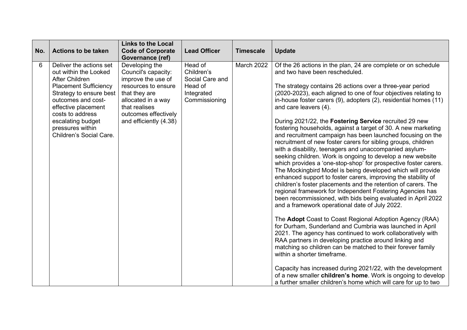|     |                                                                                                                                                                                                                                                                           | <b>Links to the Local</b>                                                                                                                                                                    |                                                                                    |                  |                                                                                                                                                                                                                                                                                                                                                                                                                                                                                                                                                                                                                                                                                                                                                                                                                                                                                                                                                                                                                                                                                                                                                                                                                                                                                                                                                                                                                                                                                                                                                                                                                                                                                                                   |
|-----|---------------------------------------------------------------------------------------------------------------------------------------------------------------------------------------------------------------------------------------------------------------------------|----------------------------------------------------------------------------------------------------------------------------------------------------------------------------------------------|------------------------------------------------------------------------------------|------------------|-------------------------------------------------------------------------------------------------------------------------------------------------------------------------------------------------------------------------------------------------------------------------------------------------------------------------------------------------------------------------------------------------------------------------------------------------------------------------------------------------------------------------------------------------------------------------------------------------------------------------------------------------------------------------------------------------------------------------------------------------------------------------------------------------------------------------------------------------------------------------------------------------------------------------------------------------------------------------------------------------------------------------------------------------------------------------------------------------------------------------------------------------------------------------------------------------------------------------------------------------------------------------------------------------------------------------------------------------------------------------------------------------------------------------------------------------------------------------------------------------------------------------------------------------------------------------------------------------------------------------------------------------------------------------------------------------------------------|
| No. | <b>Actions to be taken</b>                                                                                                                                                                                                                                                | <b>Code of Corporate</b><br>Governance (ref)                                                                                                                                                 | <b>Lead Officer</b>                                                                | <b>Timescale</b> | <b>Update</b>                                                                                                                                                                                                                                                                                                                                                                                                                                                                                                                                                                                                                                                                                                                                                                                                                                                                                                                                                                                                                                                                                                                                                                                                                                                                                                                                                                                                                                                                                                                                                                                                                                                                                                     |
| 6   | Deliver the actions set<br>out within the Looked<br><b>After Children</b><br><b>Placement Sufficiency</b><br>Strategy to ensure best<br>outcomes and cost-<br>effective placement<br>costs to address<br>escalating budget<br>pressures within<br>Children's Social Care. | Developing the<br>Council's capacity:<br>improve the use of<br>resources to ensure<br>that they are<br>allocated in a way<br>that realises<br>outcomes effectively<br>and efficiently (4.38) | Head of<br>Children's<br>Social Care and<br>Head of<br>Integrated<br>Commissioning | March 2022       | Of the 26 actions in the plan, 24 are complete or on schedule<br>and two have been rescheduled.<br>The strategy contains 26 actions over a three-year period<br>(2020-2023), each aligned to one of four objectives relating to<br>in-house foster carers (9), adopters (2), residential homes (11)<br>and care leavers (4).<br>During 2021/22, the Fostering Service recruited 29 new<br>fostering households, against a target of 30. A new marketing<br>and recruitment campaign has been launched focusing on the<br>recruitment of new foster carers for sibling groups, children<br>with a disability, teenagers and unaccompanied asylum-<br>seeking children. Work is ongoing to develop a new website<br>which provides a 'one-stop-shop' for prospective foster carers.<br>The Mockingbird Model is being developed which will provide<br>enhanced support to foster carers, improving the stability of<br>children's foster placements and the retention of carers. The<br>regional framework for Independent Fostering Agencies has<br>been recommissioned, with bids being evaluated in April 2022<br>and a framework operational date of July 2022.<br>The Adopt Coast to Coast Regional Adoption Agency (RAA)<br>for Durham, Sunderland and Cumbria was launched in April<br>2021. The agency has continued to work collaboratively with<br>RAA partners in developing practice around linking and<br>matching so children can be matched to their forever family<br>within a shorter timeframe.<br>Capacity has increased during 2021/22, with the development<br>of a new smaller children's home. Work is ongoing to develop<br>a further smaller children's home which will care for up to two |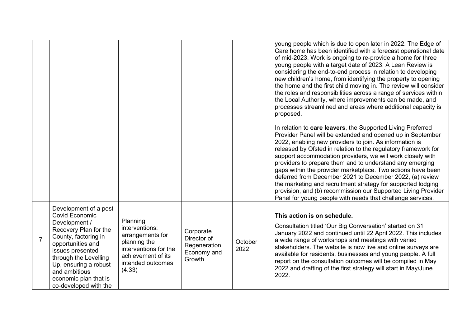|                |                                                                                                                                                                                                                              |                                                                                                                                              |                                                                    |                 | young people which is due to open later in 2022. The Edge of<br>Care home has been identified with a forecast operational date<br>of mid-2023. Work is ongoing to re-provide a home for three<br>young people with a target date of 2023. A Lean Review is<br>considering the end-to-end process in relation to developing<br>new children's home, from identifying the property to opening<br>the home and the first child moving in. The review will consider<br>the roles and responsibilities across a range of services within<br>the Local Authority, where improvements can be made, and<br>processes streamlined and areas where additional capacity is<br>proposed.                               |
|----------------|------------------------------------------------------------------------------------------------------------------------------------------------------------------------------------------------------------------------------|----------------------------------------------------------------------------------------------------------------------------------------------|--------------------------------------------------------------------|-----------------|------------------------------------------------------------------------------------------------------------------------------------------------------------------------------------------------------------------------------------------------------------------------------------------------------------------------------------------------------------------------------------------------------------------------------------------------------------------------------------------------------------------------------------------------------------------------------------------------------------------------------------------------------------------------------------------------------------|
|                |                                                                                                                                                                                                                              |                                                                                                                                              |                                                                    |                 | In relation to care leavers, the Supported Living Preferred<br>Provider Panel will be extended and opened up in September<br>2022, enabling new providers to join. As information is<br>released by Ofsted in relation to the regulatory framework for<br>support accommodation providers, we will work closely with<br>providers to prepare them and to understand any emerging<br>gaps within the provider marketplace. Two actions have been<br>deferred from December 2021 to December 2022, (a) review<br>the marketing and recruitment strategy for supported lodging<br>provision, and (b) recommission our Supported Living Provider<br>Panel for young people with needs that challenge services. |
|                | Development of a post<br><b>Covid Economic</b>                                                                                                                                                                               |                                                                                                                                              |                                                                    |                 | This action is on schedule.                                                                                                                                                                                                                                                                                                                                                                                                                                                                                                                                                                                                                                                                                |
| $\overline{7}$ | Development /<br>Recovery Plan for the<br>County, factoring in<br>opportunities and<br>issues presented<br>through the Levelling<br>Up, ensuring a robust<br>and ambitious<br>economic plan that is<br>co-developed with the | Planning<br>interventions:<br>arrangements for<br>planning the<br>interventions for the<br>achievement of its<br>intended outcomes<br>(4.33) | Corporate<br>Director of<br>Regeneration,<br>Economy and<br>Growth | October<br>2022 | Consultation titled 'Our Big Conversation' started on 31<br>January 2022 and continued until 22 April 2022. This includes<br>a wide range of workshops and meetings with varied<br>stakeholders. The website is now live and online surveys are<br>available for residents, businesses and young people. A full<br>report on the consultation outcomes will be compiled in May<br>2022 and drafting of the first strategy will start in May/June<br>2022.                                                                                                                                                                                                                                                  |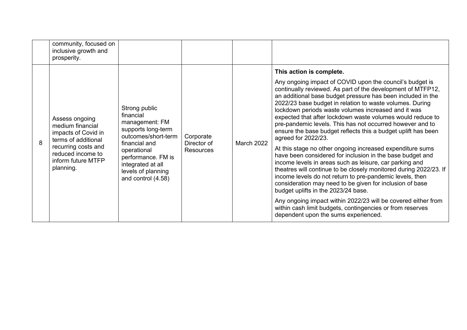|   | community, focused on<br>inclusive growth and<br>prosperity.                                                                                                    |                                                                                                                                                                                                                                                                  |  |                   |                                                                                                                                                                                                                                                                                                                                                                                                                                                                                                                              |
|---|-----------------------------------------------------------------------------------------------------------------------------------------------------------------|------------------------------------------------------------------------------------------------------------------------------------------------------------------------------------------------------------------------------------------------------------------|--|-------------------|------------------------------------------------------------------------------------------------------------------------------------------------------------------------------------------------------------------------------------------------------------------------------------------------------------------------------------------------------------------------------------------------------------------------------------------------------------------------------------------------------------------------------|
|   |                                                                                                                                                                 |                                                                                                                                                                                                                                                                  |  |                   | This action is complete.                                                                                                                                                                                                                                                                                                                                                                                                                                                                                                     |
| 8 | Assess ongoing<br>medium financial<br>impacts of Covid in<br>terms of additional<br>recurring costs and<br>reduced income to<br>inform future MTFP<br>planning. | Strong public<br>financial<br>management: FM<br>supports long-term<br>outcomes/short-term<br>Corporate<br>financial and<br>Director of<br>operational<br><b>Resources</b><br>performance. FM is<br>integrated at all<br>levels of planning<br>and control (4.58) |  | <b>March 2022</b> | Any ongoing impact of COVID upon the council's budget is<br>continually reviewed. As part of the development of MTFP12,<br>an additional base budget pressure has been included in the<br>2022/23 base budget in relation to waste volumes. During<br>lockdown periods waste volumes increased and it was<br>expected that after lockdown waste volumes would reduce to<br>pre-pandemic levels. This has not occurred however and to<br>ensure the base budget reflects this a budget uplift has been<br>agreed for 2022/23. |
|   |                                                                                                                                                                 |                                                                                                                                                                                                                                                                  |  |                   | At this stage no other ongoing increased expenditure sums<br>have been considered for inclusion in the base budget and<br>income levels in areas such as leisure, car parking and<br>theatres will continue to be closely monitored during 2022/23. If<br>income levels do not return to pre-pandemic levels, then<br>consideration may need to be given for inclusion of base<br>budget uplifts in the 2023/24 base.                                                                                                        |
|   |                                                                                                                                                                 |                                                                                                                                                                                                                                                                  |  |                   | Any ongoing impact within 2022/23 will be covered either from<br>within cash limit budgets, contingencies or from reserves<br>dependent upon the sums experienced.                                                                                                                                                                                                                                                                                                                                                           |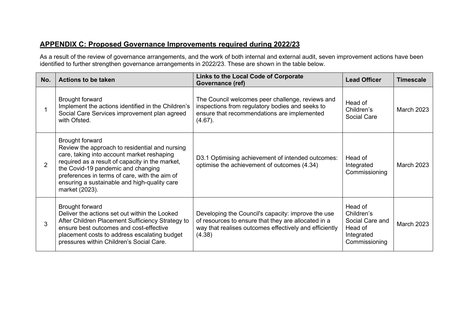## **APPENDIX C: Proposed Governance Improvements required during 2022/23**

As a result of the review of governance arrangements, and the work of both internal and external audit, seven improvement actions have been<br>identified to further strengthen governance arrangements in 2022/23. These are sho

| No.            | <b>Actions to be taken</b>                                                                                                                                                                                                                                                                                                         | Links to the Local Code of Corporate<br>Governance (ref)                                                                                                                      | <b>Lead Officer</b>                                                                | <b>Timescale</b>  |
|----------------|------------------------------------------------------------------------------------------------------------------------------------------------------------------------------------------------------------------------------------------------------------------------------------------------------------------------------------|-------------------------------------------------------------------------------------------------------------------------------------------------------------------------------|------------------------------------------------------------------------------------|-------------------|
|                | <b>Brought forward</b><br>Implement the actions identified in the Children's<br>Social Care Services improvement plan agreed<br>with Ofsted.                                                                                                                                                                                       | The Council welcomes peer challenge, reviews and<br>inspections from regulatory bodies and seeks to<br>ensure that recommendations are implemented<br>$(4.67)$ .              | Head of<br>Children's<br>Social Care                                               | <b>March 2023</b> |
| $\overline{2}$ | <b>Brought forward</b><br>Review the approach to residential and nursing<br>care, taking into account market reshaping<br>required as a result of capacity in the market,<br>the Covid-19 pandemic and changing<br>preferences in terms of care, with the aim of<br>ensuring a sustainable and high-quality care<br>market (2023). | D3.1 Optimising achievement of intended outcomes:<br>optimise the achievement of outcomes (4.34)                                                                              | Head of<br>Integrated<br>Commissioning                                             | <b>March 2023</b> |
| 3              | <b>Brought forward</b><br>Deliver the actions set out within the Looked<br>After Children Placement Sufficiency Strategy to<br>ensure best outcomes and cost-effective<br>placement costs to address escalating budget<br>pressures within Children's Social Care.                                                                 | Developing the Council's capacity: improve the use<br>of resources to ensure that they are allocated in a<br>way that realises outcomes effectively and efficiently<br>(4.38) | Head of<br>Children's<br>Social Care and<br>Head of<br>Integrated<br>Commissioning | <b>March 2023</b> |